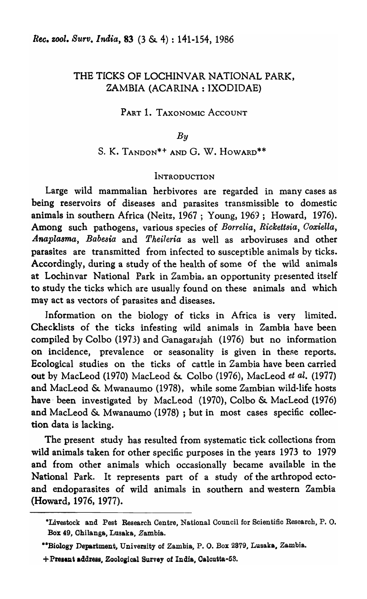## THE TICKS OF LOCHINVAR NATIONAL PARK, ZAMBIA (ACARINA: IXODIDAE)

## PART 1. TAXONOMIC ACCOUNT

#### *By*

## S. K. TANDON\*<sup>+</sup> AND G. W. HOWARD<sup>\*\*</sup>

## **INTRODUCTION**

Large wild mammalian herbivores are regarded in many cases as being reservoirs of diseases and parasites transmissible to domestic animals in southern Africa (Neitz, 1967; Young, 1969; Howard, 1976). Among such pathogens, various species of *Borrelia, Rickettsia, Ooxiella, Anapla8ma, Babesia* and *Theileria* as well as arboviruses and other parasites are transmitted from infected to susceptible animals by ticks. Accordingly, during a study of the health of some of the wild animals at Lochinvar National Park in Zambia, an opportunity presented itself to study the ticks which are usually found on these animals and which may act as vectors of parasites and diseases.

Information on the biology of ticks in Africa is very limited. Checklists of the ticks infesting wild animals in Zambia have been compiled by Colbo (1973) and Ganagarajah (1976) but no information on incidence, prevalence or seasonality is given in these reports. Ecological studies on the ticks of cattle in Zambia have been carried out by MacLeod (1970) MacLeod & Colbo (1976), MacLeod *et al.* (1977) and MacLeod & Mwanaumo (1978), while some Zambian wild-life hosts have' been investigated by MacLeod (1970), Colbo & MacLeod (1976) and MacLeod & Mwanaumo (1978) ; but in most cases specific collection data is lacking.

The present study bas resulted from systematic tick collections from wild animals taken for other specific purposes in the years 1973 to 1979 and from other animals which occasionally became available in the National Park. It represents part of a study of the arthropod ectoand endoparasites of wild animals in southern and western Zambia (Howard, 1976, 1977).

<sup>-</sup>Livestock and Pest Research Centre, National Council for Scientific Research, P. O. BOx 49, Chilanga, Lusaka, Zambia.

<sup>\*\*</sup>Biology Department, University of Zambia, P. O. Box 2379, Lusaka, Zambia.

<sup>+</sup>Present address, Zoological Survey of India, Oalcutta-53.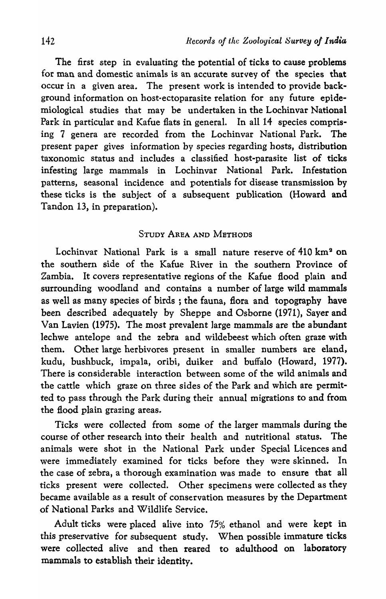The first step in evaluating the potential of ticks to cause problems for man and domestic animals is an accurate survey of the species that occur in a given area. The present work is intended to provide background information on host-ectoparasite relation for any future epidemiological studies that may be undertaken in the Lochinvar National Park in particular and Kafue flats in general. In all 14 species comprising 7 genera are recorded from the Lochinvar National Park. The present paper gives information by species regarding hosts, distribution taxonomic status and includes a classified host-parasite list of ticks infesting large mammals in Lochinvar National Park. Infestation patterns, seasonal incidence and potentials for disease transmission by these ticks is the subject of a subsequent publication (Howard and Tandon 13, in preparation).

## STUDY AREA AND METHODS

Lochinvar National Park is a small nature reserve of 410 km<sup>3</sup> on the southern side of the Kafue River in the southern Province of Zambia. It covers representative regions of the Kafue flood plain and surrounding woodland and contains a number of large wild mammals as well as many species of birds ; the fauna, flora and topography have been described adequately by Sheppe and Osborne (1971), Sayer and Van Lavien (1975). The most prevalent large mammals are the abundant lechwe antelope and the zebra and wildebeest which often graze with them. Other large herbivores present in smaller numbers are eland, kudu, bushbuck, impala, oribi, duiker and buffalo (Howard, 1977). There is considerable interaction between some of the wild animals and the cattle which graze on three sides of the Park and which are permitted to pass through the Park during their annual migrations to and from the flood plain grazing areas.

Ticks were collected from some of the larger mammals during the course of other research into their health and nutritional status. The animals were shot in the National Park under Special Licences and were immediately examined for ticks before they were skinned. In the case of zebra, a thorough examination was made to ensure that all ticks present were collected. Other specimens were collected as they became available as a result of conservation measures by the Department of National Parks and Wildlife Service.

Adult ticks were placed alive into 75% ethanol and were kept in this preservative for subsequent study. When possible immature ticks were collected alive and then reared to adulthood on laboratory mammals to establish their identity.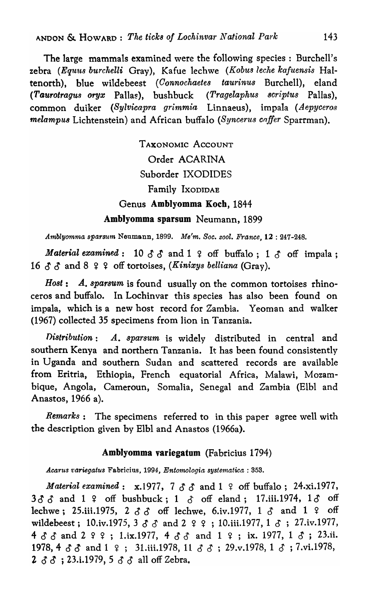The large mammals examined were the following species: Burchell's zebra *(Equus burchelli Gray)*, Kafue lechwe *(Kobus leche kafuensis* Haltenorth), blue wildebeest *(Oonnochaetes taurinus* Burchell), eland *(Ta'Urotragus oryx* Pallas), bushbuck *(Tragelaphus 8criptus* Pallas), common duiker *(Sylvicapra grimmia* Linnaeus), impala *(Aepycero8 melampus* Lichtenstein) and African buffalo *(Syncerus coffer Sparrman)*.

> TAXONOMIC ACCOUNT Order ACARINA Suborder IXODIDES Family IXODIDAE Genus Amblyomma Koch, 1844 Amblyomma sparsum Neumann, 1899

*Amblyom'ma sparsum* Neumann, 1899. *Me'm. Soc. zooZ. France,* 12 : 247-248.

*Material examined*:  $10 \delta \delta$  and  $1 \epsilon$  off buffalo;  $1 \delta$  off impala; 16  $\delta$   $\delta$  and 8  $\epsilon$   $\epsilon$  off tortoises, *(Kinixys belliana (Gray)*.

*Host: A. sparsum* is found usually on the common tortoises rhinoceros and buffalo. In Lochinvar this species has also been found on impala, which is a new host record for Zambia. Yeoman and walker (1967) collected 35 specimens from lion in Tanzania.

*Distribution: A. sparsum* is widely distributed in central and southern Kenya and northern Tanzania. It has been found consistently in Uganda and southern Sudan and scattered records are available from Eritria, Ethiopia, French equatorial Africa, Malawi, Mozambique, Angola, Cameroun, Somalia, Senegal and Zambia (EIbl and Anastos, 1966 a).

*Remarks:* The specimens referred to in this paper agree well with the description given by EIbl and Anastos (1966a).

## Amblyomma variegatum (Fabricius 1794)

*Acarus variegatus* Fabricius, 1994, *Entomologia systematica* : 353.

*Material examined:* x.1977, 7  $\delta$   $\delta$  and 1  $\epsilon$  off buffalo; 24.xi.1977,  $3\delta\delta$  and  $1 \t9$  off bushbuck;  $1 \t3$  off eland; 17.iii.1974,  $1\delta$  off lechwe; 25.iii.1975, 2  $\delta$   $\delta$  off lechwe, 6.iv.1977, 1  $\delta$  and 1  $\epsilon$  off wildebeest; 10.iv.1975, 3  $\delta$   $\delta$  and 2  $\varphi$   $\varphi$ ; 10.iii.1977, 1  $\delta$ ; 27.iv.1977, 4  $\delta$   $\delta$  and 2  $\circ$   $\circ$  ; 1.ix.1977, 4  $\delta$   $\delta$  and 1  $\circ$  ; ix. 1977, 1  $\delta$  ; 23.ii. 1978, 4  $\delta$   $\delta$  and 1  $\epsilon$ ; 31.iii.1978, 11  $\delta$   $\delta$ ; 29.v.1978, 1  $\delta$ ; 7.vi.1978,  $2 \delta \delta$ ; 23.i.1979, 5  $\delta \delta$  all off Zebra.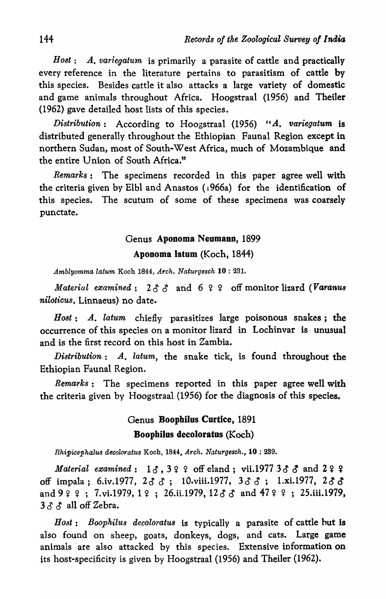*Host: A. variegatum* is primarily a parasite of cattle and practically every reference in the literature pertains to parasitism of cattle by this species. Besides cattle it also attacks a large variety of domestic and game animals throughout Africa. Hoogstraal (1956) and Theiler (1962) gave detailed host lists of this species.

*Distribution:* According to Hoogstraal (1956) *"A. variegatum* is distributed generally throughout the Ethiopian Faunal Region except in northern Sudan, most of South-West Africa, much of Mozambique and the entire Union of South Africa."

*Remarks:* The specimens recorded in this paper agree well with the criteria given by Elbl and Anastos (1966a) for the identification of this species. The scutum of some of these specimens was coarsely punctate.

#### Genus Aponoma Neumann, 1899

#### Aponoma latom (Koch, 1844)

*A.mblyomma latum* Koch 1844, *A.rch. Naturgesch* 10 : 231.

*Material examined*:  $2 \delta \delta$  and  $6 \epsilon \epsilon$  off monitor lizard *(Varanus niloticus*, Linnaeus) no date.

B *ost:* .A.. *latum* chiefly parasitizes large poisonous snakes; the occurrence of this species on a monitor lizard in Lochinvar is unusual and is the first record on this host in Zambia.

*Distribution: A. latum,* the snake tick, is found throughout the Ethiopian Faunal Region.

*Remarks:* The specimens reported in this paper agree well with the criteria given by Hoogstraal (1956) for the diagnosis of this species.

## Genus Boophilus Curtice, 1891 Boophilus decoloratus (Koch)

*Rhipicephalus decoloratus Koch, 1844, Arch. Naturgesch., 10: 289.* 

*Material examined*:  $1 \delta$ ,  $3 \zeta$   $\zeta$  off eland; vii.1977  $3 \delta$   $\zeta$  and  $2 \zeta$ off impala; 6.iv.1977,  $2 \delta \delta$ ; 10.viii.1977,  $3 \delta \delta$ ; 1.xi.1977,  $2 \delta \delta$ and  $9$   $2$   $3$  ; 7.vi.1979, 1  $2$  ; 26.ii.1979, 12  $3$   $3$  and 47  $2$   $3$  ; 25.iii.1979,  $3 \delta \delta$  all off Zebra.

*Host: Boophilus decoloratu8* is typically a parasite of cattle hut is also found on sheep, goats, donkeys, dogs, and cats. Large game animals are also attacked by this species. Extensive information on its host-specificity is given by Hoogstraal (1956) and Theiler (1962).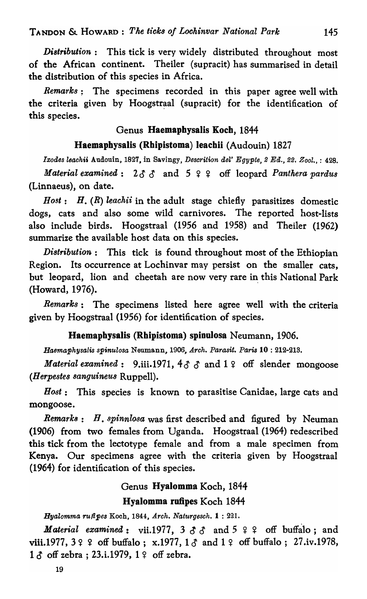*Di8tribution:* This tick is very widely distributed throughout most of the African continent. Theiler (supracit) has summarised in detail the distribution of this species in Africa.

*Remarks;* The specimens recorded in this paper agree well with the criteria given by Hoogstraal (supracit) for the identification of this species.

## Genus Haemaphysalis Koch, 1844

## Haemaphysalis (Rhipistoma) leachii (Audouin) 1827

*Ixodes leachii Audouin, 1827, in Savingy, Descrition del' Egypte, 2 Ed., 22. Zool., : 428. Material examined:*  $2 \delta \delta$  and  $5 \epsilon \epsilon$  off leopard *Panthera pardus* (Linnaeus), on date.

*Host: H. (R) leachii* in the adult stage chiefly parasitizes domestic dogs, cats and also some wild carnivores. The reported host-lists also include birds. Hoogstraal (1956 and 1958) and Theiler (1962) summarize the available host data on this species.

*Distribution:* This tick is found throughout most of the Ethiopian Region. Its occurrence at Lochinvar may persist on the smaller cats, but leopard, lion and cheetah are now very rare in this National Park (Howard, 1976).

*Remarks:* The specimens listed here agree well with the criteria given by Hoogstraal (1956) for identification of species.

## Haemaphysalis (Rhipistoma) spinuiosa Neumann, 1906.

*Haemaphysalis spinulosa* Neumann, 1906, Arch. Parasit. Paris 10: 212-213.

*Material examined*: 9.iii.1971,  $4\delta \delta$  and  $1\delta$  off slender mongoose *(Herpestes sanguineus* Ruppell).

*Host:* This species is known to parasitise Canidae, large cats and mongoose.

*Remark8:* B. *spinnlosa* was first described and figured by Neuman (1906) from two females from Uganda. Hoogstraal (1964) redescribed this tick from the lectotype female and from a male specimen from Kenya. Our specimens agree with the criteria given by Hoogstraal (1964) for identification of this species.

# Genus Hyalomma Koch, 1844

## Hyalomma rufipes Koch 1844

*HyaZomma rutipes* Koch, 1844, *Arch. Naturgesch.* 1 : 221.

*Material examined*: vii.1977,  $3 \delta \delta$  and  $5 \epsilon \epsilon$  off buffalo; and viii. 1977,  $3 \frac{9}{5}$  off buffalo; x. 1977,  $1 \, \delta$  and  $1 \, \epsilon$  off buffalo; 27.iv. 1978,  $1 \delta$  off zebra; 23.i.1979,  $1 \epsilon$  off zebra.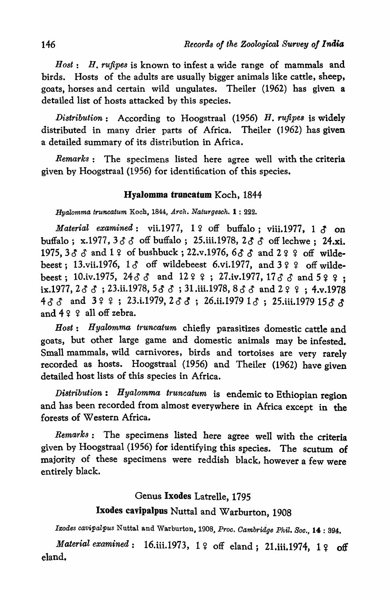*Host: H. rUfipes* is known to infest a wide range of mammals and birds. Hosts of the adults are usually bigger animals like cattle, sheep, goats, horses and certain wild ungulates. Theiler (1962) has given a detailed list of hosts attacked by this species.

*Distribution:* According to Hoogstraal (1956) H. *rufipes* is widely distributed in many drier parts of Africa. Theiler (1962) has given a detailed summary of its distribution in Africa.

*Remarks:* The specimens listed here agree well with the criteria given by Hoogstraal (1956) for identification of this species.

## Hyalomma truncatum Koch, 1844

*Hyalomma t'Tuncatum* Koch, 1844, *Arch. Naturgesch.* 1 : 222.

*Material examined*: vii.1977,  $1 \nvert 2$  off buffalo; viii.1977,  $1 \nvert 3$  on buffalo; x.1977, 3  $\delta$   $\delta$  off buffalo; 25.iii.1978, 2  $\delta$   $\delta$  off lechwe; 24.xi. 1975,  $3\delta \delta$  and  $1\frac{\epsilon}{2}$  of bushbuck; 22.v.1976,  $6\delta \delta$  and  $2\frac{\epsilon}{2}$  off wildebeest; 13.vii.1976,  $1 \delta$  off wildebeest 6.vi.1977, and  $3 \t9 \t9$  off wildebeest; 10.iv.1975, 24 $\delta$   $\delta$  and 12  $\epsilon$  ; 27.iv.1977, 17 $\delta$   $\delta$  and 5  $\epsilon$   $\epsilon$  : ix.1977,  $2 \delta$   $3$ ;  $23.$ ii.1978,  $5 \delta$   $3$ ;  $31.$ iii.1978,  $8 \delta$   $3 \delta$  and  $2 \epsilon$   $\epsilon$ ;  $4.$ v.1978 433 and 322; 23.i.1979, 233; 26.ii.1979 13; 25.iii.1979 1533 and  $49$   $9$  all off zebra.

*Host: Hyalomma truncatum* chiefly parasitizes domestic cattle and goats, but other large game and domestic animals may be infested. Small mammals, wild carnivores, birds and tortoises are very rarely recorded as hosts. Hoogstraal (1956) and Theiler (1962) have given detailed host lists of this species in Africa.

*Distribution: Hyalomma truncatum* is endemic to Ethiopian region and has been recorded from almost everywhere in Africa except in the forests of Western Africa.

*Remarks:* The specimens listed here agree well with the criteria given by Hoogstraal (1956) for identifying this species. The scutum of majority of these specimens were reddish black, however a few were entirely black.

#### Genus Ixodes Latrelle, 1795

## Ixodes cavipalpus Nuttal and Warburton, 1908

Ixodes cavipalpus Nuttal and Warburton, 1908, Proc. Cambridge Phil. Soc., 14: 394.

*Material examined*: 16.iii.1973, 1  $\circ$  off eland; 21.iii.1974, 1  $\circ$  off eland.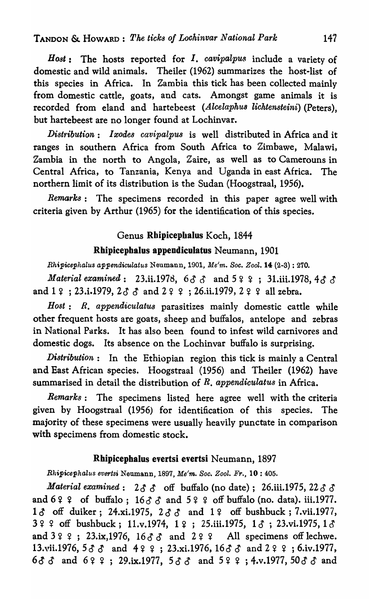*Host:* The hosts reported for I. *cavipalpu8* include a variety of domestic and wild animals. Theiler (1962) summarizes the host-list of this species in Africa. In Zambia this tick has been collected mainly from domestic cattle, goats, and cats. Amongst game animals it is recorded from eland and hartebeest *(Alcelaphus lichtensteini)* (Peters), but hartebeest are no longer found at Lochinvar.

*Distribution: Ixodes cavipalpus* is well distributed in Africa and it ranges in southern Africa from South Africa to Zimbawe, Malawi, Zambia in the north to Angola, Zaire, as well as to Camerouns in Central Africa, to Tanzania, Kenya and Uganda in east Africa. The northern limit of its distribution is the Sudan (Hoogstraal, 1956).

*Remarks:* The specimens recorded in this paper agree well with criteria given by Arthur (1965) for the identification of this species.

## Genus Rbipicephalus Koch, 1844

## Rhipicephalus appendiculatus Neumann, 1901

*Rhipicephalus appendiculatus Neumann, 1901, Me'm. Soc. Zool.* 14 (2-3): 270.

*Material examined*: 23.ii.1978, 63  $\delta$  and 5  $\epsilon$   $\epsilon$ ; 31.iii.1978, 43  $\delta$ and  $1 \, \varphi$ ; 23.i.1979,  $2 \, \delta \, \varphi$  and  $2 \, \varphi \, \varphi$ ; 26.ii.1979,  $2 \, \varphi \, \varphi$  all zebra.

*Host: R. appendiculatus* parasitizes mainly domestic cattle while other frequent hosts are goats, sheep and buffalos, antelope and zebras in National Parks. It has also been found to infest wild carnivores and domestic dogs. Its absence on the Lochinvar buffalo is surprising.

*Distribution:* In the Ethiopian region this tick is mainly a Central and East African species. Hoogstraal (1956) and Theiler (1962) have summarised in detail the distribution of *R. appendiculatus* in Africa.

*Remarks:* The specimens listed here agree well with the criteria given by Hoogstraal (1956) for identification of this species. The majority of these specimens were usually heavily punctate in comparison with specimens from domestic stock.

## Rhipicephalus evertsi evertsi Neumann, 1897

*Bhipicephalus evertsi Neumann, 1897, Me'm. Soc. Zool. Fr., 10:405.* 

*Material examined*:  $2 \delta \delta$  off buffalo (no date); 26.iii.1975, 22  $\delta \delta$ and  $6$  ?  $9$  of buffalo;  $16$  $3$   $3$  and  $5$   $9$   $9$  off buffalo (no. data). iii.1977.  $1 \delta$  off duiker; 24.xi.1975,  $2 \delta \delta$  and  $1 \epsilon$  off bushbuck; 7.vii.1977,  $3$   $9$   $9$  off bushbuck; 11.v.1974, 1 $9$ ; 25.iii.1975, 1 $3$ ; 23.vi.1975, 1 $3$ and  $399; 23.$ ix,1976,  $1633$  and  $299$ . All specimens off lechwe. 13.vii.1976,  $5 \delta \delta$  and  $4 \epsilon \epsilon$ ; 23.xi.1976,  $16 \delta \delta$  and  $2 \epsilon \epsilon$ ; 6.iv.1977, 6 $\delta$   $\delta$  and 6  $\epsilon$   $\epsilon$  ; 29.ix.1977, 58 $\delta$  and 5  $\epsilon$   $\epsilon$  ; 4.v.1977, 50 $\delta$   $\delta$  and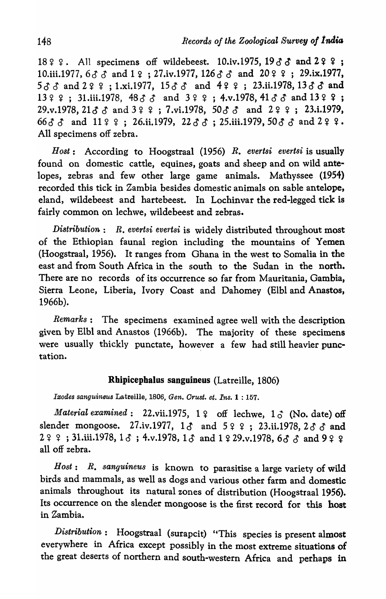18  $9$   $9$ . All specimens off wildebeest. 10.iv.1975, 19  $3$   $3$  and 2  $9$   $9$ ; 10.iii.1977,  $633$  and  $19$ ; 27.iv.1977,  $12633$  and  $2099$ ; 29.ix.1977,  $533$  and  $299$ ; 1.xi, 1977,  $1533$  and  $499$ ; 23.ii. 1978,  $1333$  and  $13$  ? ? ; 31.iii.1978,  $48$   $3$   $3$  and  $3$  ? ? ; 4.v.1978,  $41$   $3$   $3$  and  $13$  ? ? ;  $29.v.1978$ ,  $2133$  and  $399.$ ; 7.vi.1978,  $5033$  and  $299.$ ; 23.i.1979,  $663$   $3$  and  $11$   $9$   $9$ ; 26.ii.1979, 22  $3$   $3$ ; 25.iii.1979, 50  $3$   $3$  and 2  $9$   $9$ . All specimens off zebra.

*Host:* According to Hoogstraal (1956) *R. evertsi evertsi* is usually found on domestic cattle, equines, goats and sheep and on wild antelopes, zebras and few other large game animals. Mathyssee (1954) recorded this tick in Zambia besides domestic animals on sable antelope, eland, wildebeest and hartebeest. In Lochinvar the red-legged tick is fairly common on lechwe, wildebeest and zebras.

*Di8tribution: R. evertsi evertsi* is widely distributed throughout most of the Ethiopian faunal region including the mountains of Yemen (Hoogstraal, 1956). It ranges from Ghana in the west to Somalia in the east and from South Africa in the south to the Sudan in the north. There are no records of its' occurrence so far from Mauritania, Gambia, Sierra Leone, Liberia, Ivory Coast and Dahomey (BIbl and Anastos, 1966b).

*Remarks:* The specimens examined agree well with the description given by Elbl and Anastos (1966b). The majority of these specimens were usually thickly punctate, however a few had still heavier punctation.

## Rhipicephalus sanguineus (Latreille, 1806)

*lrooaes sanguineus* Latreille, 1806, *Gen. Orust. et. Ins.* 1 : 157.

*Material examined*: 22.vii.1975, 1 ? off lechwe, 1  $\circ$  (No. date) off slender mongoose. 27.iv.1977,  $1\delta$  and  $5$  ? ?; 23.ii.1978,  $2\delta$   $\delta$  and  $29.9; 31.1$ iii.1978,  $1 \delta$ ; 4.v.1978,  $1 \delta$  and  $1.929.$ v.1978,  $6 \delta \delta$  and  $9.95.9$ all off zebra.

Host: R. sanguineus is known to parasitise a large variety of wild birds and mammals, as well as dogs and various other farm and domestic animals throughout its natural zones of distribution (Hoogstraal 1956). Its occurrence on the slender mongoose is the first record for this host in Zambia.

*Distribution:* Hoogstraal (surapcit) "This species is present almost everywhere in Africa except possibly in the most extreme situations of the great deserts of northern and south-western Africa and perhaps in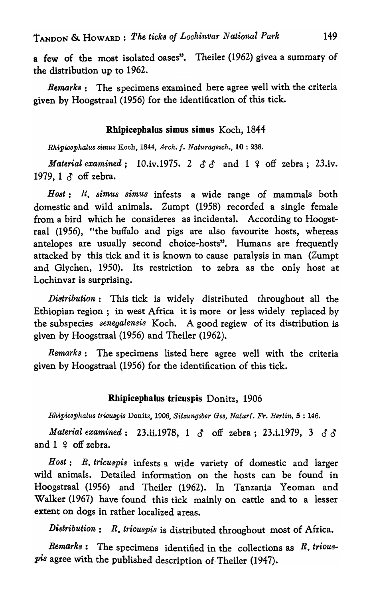a few of the most isolated oases". Theiler (1962) givea a summary of the distribution up to 1962.

*Remark8:* The specimens examined here agree well with the criteria given by Hoogstraal (1956) for the identification of this tick.

## Rhipicephalus simus simus Koch, 1844

*Rhipicephalus simus* Koch, 1844, *Arch.* f. *Naturagesch.,* 10 : 238.

*Material examined*; 10.iv.1975. 2  $\delta \delta$  and 1  $\epsilon$  off zebra; 23.iv. 1979, 1  $\delta$  off zebra.

Host: *R. simus simus* infests a wide range of mammals both domestic and wild animals. Zumpt (1958) recorded a single female from a bird which he consideres as incidental. According to Hoogstraal (1956), "the buffalo and pigs are also favourite hosts, whereas antelopes are usually second choice-hosts". Humans are frequently attacked by this tick and it is known to cause paralysis in man (Zumpt and Glychen, 1950). Its restriction to zebra as the only host at Lochinvar is surprising.

*Distribution:* This tick is widely distributed throughout all the Ethiopian region; in west Africa it is more or less widely replaced *by*  the subspecies *senegalensis* Koch. A good regiew of its distribution is given by Hoogstraal (1956) and Theiler (1962).

*Remarks:* The specimens listed here agree well with the criteria given by Hoogstraal (1956) for the identification of this tick.

## Rhipicephalus tricuspis Donitz, 1906

*Rhipicephalus t1'icuspis* Donitz, 1906, *Sitzungsber Ges, Naturf. Fr. Berlin,* 5 : 146.

*Material examined*: 23.ii.1978, 1  $\delta$  off zebra; 23.i.1979, 3  $\delta$   $\delta$ and  $1 \nvert 2$  off zebra.

*Host: R. tricuspis* infests a wide variety of domestic and larger wild animals. Detailed information on the hosts can be found in Hoogstraal (1956) and Theiler (1962). In Tanzania Yeoman and Walker (1967) have found this tick mainly on cattle and to a lesser extent on dogs in rather localized areas.

*Distribution: R. tricuspis* is distributed throughout most of Africa.

*Remarks:* The specimens identified in the collections as *R. tricuspis* agree with the published description of-Theiler (1947).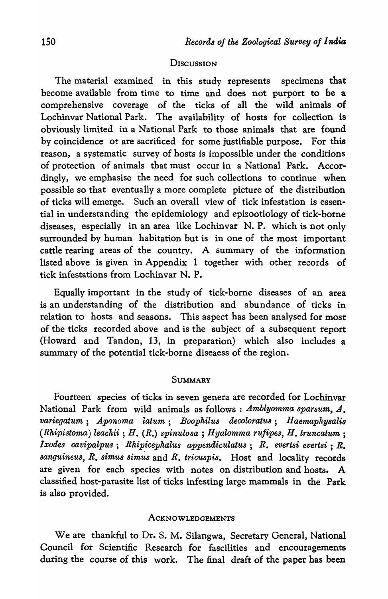#### **DISCUSSION**

The material examined in this study represents specimens that become available from time to time and does not purport to be a comprehensive coverage of the ticks of all the wild animals of Lochinvar National Park. The availability of hosts for collection is obviously limited in a National Park to those animals that are found by coincidence or are sacrificed for some justifiable purpose. For this reason, a systematic survey of hosts is impossible under the conditions of protection of animals that must occur in a National Park. Accordingly, we emphasise the need for such collections to continue when possible so that eventually a more complete picture of the distribution of ticks will emerge. Such an overall view of tick infestation is essential in understanding the epidemiology and epizootiology of tick-borne diseases, especially in an area like Lochinvar N. P. which is not only surrounded by human habitation but is in one of the most important cattle rearing areas of the country. A summary of the information listed above is given in Appendix 1 together with other records of tick infestations from Lochinvar N. P.

Equally important in the study of tick-borne diseases of an area is an understanding of the distribution and abundance of ticks in relation to hosts and seasons. This aspect has been analysed for most of the ticks recorded above and is the subject of a subsequent report (Howard and Tandon, 13, in preparation) which also includes a summary of the potential tick-borne diseaess of the region.

## **SUMMARY**

Fourteen species of ticks in seven genera are recorded for Lochinvar National Park from wild animals as follows : *Amblyomma sparsum, A. variegatum; Aponoma latum; Boophilus decoloratus; Haemaphysalis (Rhipistoma) leackii* ; *H. (R.) spinulosa* ; *Hyalomma rUfipes, H. truncatum ; Ixodes cavipalpus; Rhipicephalus appendiculatus; R. evertsi evertsi; R. sanguineus, R. simu8 simus* and *R. tricuspis.* Host and locality records are given for each species with notes on distribution and hosts. A classified host-parasite list of ticks infesting large mammals in the Park is also provided.

#### **ACKNOWLEDGEMENTS**

We are thankful to Dr. S. M. Silangwa, Secretary General, National Council for Scientific Research for fascilities and encouragements during the course of this work. The final draft of the paper has been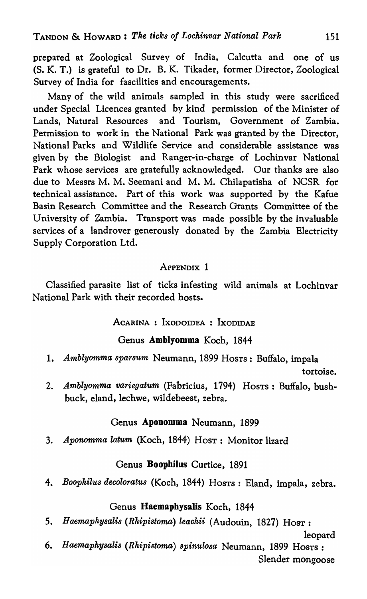prepared at Zoological Survey of India, Calcutta and one of us (S. K. T.) is grateful to Dr. B. K. Tikader, former Director, Zoological Survey of India for fascilities and encouragements.

Many of the wild animals sampled in this study were sacrificed under Special Licences granted by kind permission of the Minister of Lands, Natural Resources and Tourism, Government of Zambia. Permission to work in the National Park was granted by the Director, National Parks and Wildlife Service and considerable assistance was given by the Biologist and Ranger-in-charge of Lochinvar National Park whose services are gratefully acknowledged. Our thanks are also due to Messrs M. M. Seemani and M. M. Chilapatisha of NCSR for technical assistance. Part of this work was supported by the Kafue Basin Research Committee and the Research Grants Committee of the University of Zambia. Transport was made possible by the invaluable services of a landrover generously donated by the Zambia Electricity Supply Corporation Ltd.

## ApPENDIX 1

Classified parasite list of ticks infesting wild animals at Lochinvar National Park with their recorded hosts.

ACARINA : IXODOIDEA : IXODIDAE

#### Genus Amblyomma Koch, 1844

*1. Amblyomma sparsum* Neumann) 1899 HOSTS: Buffalo, impala

tortoise.

*2. Amblyomma variegatum* (Fabricius, 1794) HOSTS: Buffalo, bushbuck, eland, lechwe, wildebeest, zebra.

## Genus Aponomma Neumann, 1899

*3. Aponomma latum* (Koch, 1844) HOST: Monitor lizard

## Genus Boophilus Curtice, 1891

*4. Boophilus decoloratus* (Koch, 1844) HOSTS: Eland, impala, zebra.

## Genus Haemaphysalis Koch, 1844

*5. Haemaphysalis (Rhipistoma) leachii* (Audouin, 1827) HOST:

leopard

6. *Haemaphysalis (Rhipistoma) spinulosa* Neumann, 1899 HOSTS: Slender mongoose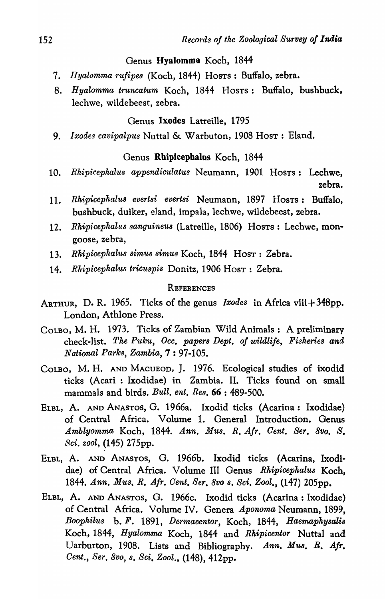#### Genus Hyalomma Koch, 1844

- *7. Hyalom1na rufipes* (Koch, 1844) HOSTS: Buffalo, zebra.
- 8. *Hyalomma truncatum* Koch, 1844 HOSTS: Buffalo, bushbuck, lechwe, wildebeest, zebra.

## Genus Ixodes Latreille, 1795

9. *Ixodes cavipalpus* Nuttal & Warbuton, 1908 Hosr: Eland.

## Genus Rhipicephalus Koch, 1844

- 10. *Rhipicephalus appendiculatu8* Neumann, 1901 HOSTS: Lechwe, zebra.
- 11. *Rhipicephalus evertsi evertsi* Neumann, 1897 HOSTS: Buffalo, bushbuck, duiker, eland, impala, lechwe, wildebeest, zebra.
- *12. Rhipicephalus sanguineu8* (Latreille, 1806) HOSTS: Lechwe, mongoose, zebra,
- 13. Rhipicephalus simus simus Koch, 1844 Host: Zebra.
- 14. *Rh.ipicephalus tricuspis* Donitz, 1906 HOST: Zebra.

#### **REFERENCES**

- ARTHUR, D. R. 1965. Ticks of the genus *Ixodes* in Africa viii+348pp. London, Athlone Press.
- COLBO, M. H. 1973. Ticks of Zambian Wild Animals: A preliminary check-list. *The Pulcu, Occ. papers Dept. of wildlife, Fisherie8 and National Parks, Zambia,* 7 : 97-105.
- COLBO, M. H. AND MACUEOD, J. 1976. Ecological studies of ixodid ticks (Acari : Ixodidae) in Zambia. II. Ticks found on small mammals and birds. *Bull. ent. Res.* 66 : 489-500.
- ELBL, A. AND ANASTOS, G. 1966a. Ixodid ticks (Acarina: Ixodidae) of Central Africa. Volume 1. General Introduction. Genus Amblyomma Koch, 1844. Ann. Mus. R. Afr. Cent. Ser. 8vo. S. *Sci. zool,* (145) 275pp.
- ELBL, A. AND ANASTOS, G. 1966b. Ixodid ticks (Acarina, Ixodidae) of Central Africa. Volume III Genus *Rhipicephalus* Koch, *1844. Ann.* MU8~ *R. Air. Cent. Sere 8vo s. Sci. Zool.,* (147) 205pp.
- ELBL, A. AND ANASTOS, G. 1966c. Ixodid ticks (Acarina: Ixodidae) of Central Africa. Volume IV. Genera *Aponoma* Neumann, 1899, *Boophilus* b. F. 1891, *Dermacentor,* Koch, 1844, *Haemaphysalis*  Koch, 1844, *Hyalomma* Koch, 1844 and *Rkipicentor* Nuttal and Uarburton, 1908. Lists and Bibliography. *Ann. Mus. R. Air. Cent., Ser. 8vo, s. Sci. Zool.,* (148), 412pp.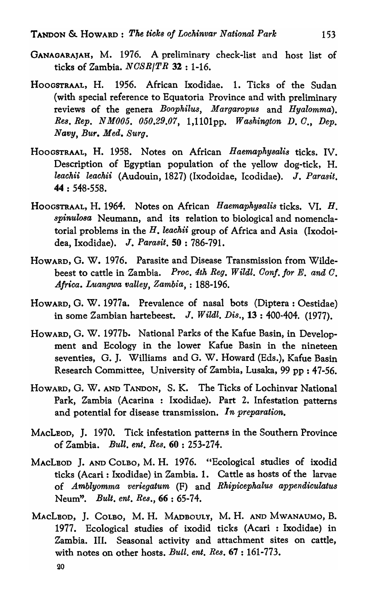- GANAGARAJAH, M. 1976. A preliminary check-list and host list of ticks of Zambia. *NOSRITR* 32 : 1-16.
- HOOGSTRAAL, H. 1956. African Ixodidae. 1. Ticks of the Sudan (with special reference to Equatoria Province and with preliminary reviews of the genera *Boophilus, Margaropus* and *Hyalomma). Res. Rep. N M005. 050.29.07,* 1,1101pp. *Washington D.O., Dep. Navy, Bur. Med. Surg.*
- HOOGSTRAAL, H. 1958. Notes on African *Haemaphysalis* ticks. IV. Description of Egyptian population of the yellow dog-tick, H. *leachii leachii* (Audouin, 1827) (Ixodoidae, Icodidae). J. Parasit. 44 : 548·558.
- HOOGSTRAAL, H. 1964. Notes on African *Haemaphysalis* ticks. VI. H. *spinuloso,* Neumann, and its relation to biological and nomenclatorial problems in the H. *leachii* group of Africa and Asia (Ixodoidea, Ixodidae). J. Parasit, 50: 786-791.
- HOWARD, G. W. 1976. Parasite and Disease Transmission from Wildebeest to cattle in Zambia. *Proc. 4th Reg. Wildl. Oonf. for* E. *and O. Africa. Luangwa valley, Zambia,* : 188-196.
- HOWARD, G. W. 1977a. Prevalence of nasal bots (Diptera: Oestidae) in some Zambian hartebeest. J. W *ildl. Dis.,* 13 : 400-404. (1977).
- HOWARD, G. W. 1977b. National Parks of the Kafue Basin, in Development and Ecology in the lower Kafue Basin in the nineteen seventies, G. J. Williams and G. W. Howard (Eds.), Kafue Basin Research Committee, University of Zambia, Lusaka, 99 pp : 47-56.
- HOWARD, G. W. AND TANDON, S. K. The Ticks of Lochinvar National Park, Zambia (Acarina : Ixodidae). Part 2. Infestation patterns and potential for disease transmission. *In preparation*.
- MACLEOD, J. 1970. Tick infestation patterns in the Southern Province of Zambia. *Bull. ent. Res.* 60 : 253-274.
- MACLBOD J. AND COLBO, M. H. 1976. "Ecological studies of ixodid ticks (Acari: Ixodidae) in Zambia. 1. Cattle as hosts of the larvae of *Amblyomma veriegatum* (F) and *Rhipicephalus appendiculatus*  Neum". *Bult. ent. Re8.,* 66 : 65-74.
- MACLBOD, J. COLBO, M. H. MADBOULY, M. H. AND MWANAUMO, B. 1977. Ecological studies of ixodid ticks (Acari : Ixodidae) in Zambia. III. Seasonal activity and attachment sites on cattle, with notes on other hosts. *Bull. ent. Res.* 67 : 161-773.